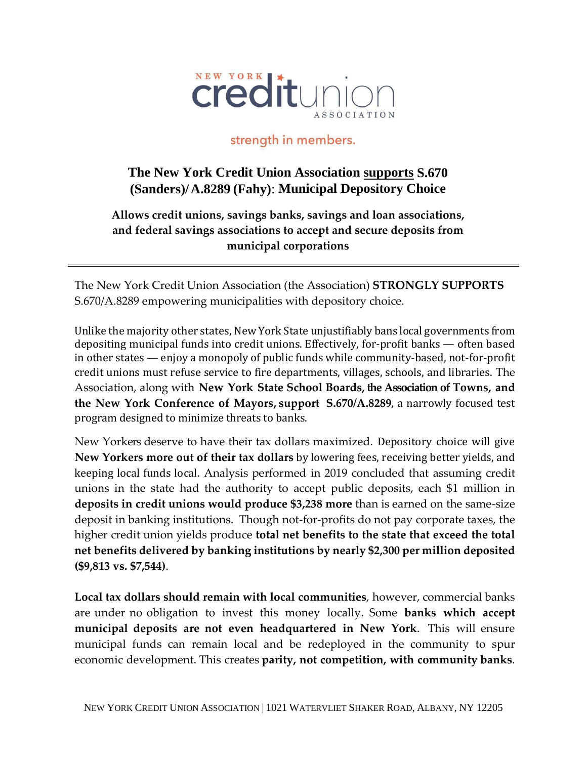

## strength in members.

## **The New York Credit Union Association supports S.670 (Sanders)/ A.8289 (Fahy)**: **Municipal Depository Choice**

**Allows credit unions, savings banks, savings and loan associations, and federal savings associations to accept and secure deposits from municipal corporations**

The New York Credit Union Association (the Association) **STRONGLY SUPPORTS**  S.670/A.8289 empowering municipalities with depository choice.

Unlike the majority other states, New York State unjustifiably bans local governments from depositing municipal funds into credit unions. Effectively, for-profit banks — often based in other states — enjoy a monopoly of public funds while community-based, not-for-profit credit unions must refuse service to fire departments, villages, schools, and libraries. The Association, along with **New York State School Boards, the Association of Towns, and the New York Conference of Mayors, support S.670/A.8289**, a narrowly focused test program designed to minimize threats to banks.

New Yorkers deserve to have their tax dollars maximized. Depository choice will give **New Yorkers more out of their tax dollars** by lowering fees, receiving better yields, and keeping local funds local. Analysis performed in 2019 concluded that assuming credit unions in the state had the authority to accept public deposits, each \$1 million in **deposits in credit unions would produce \$3,238 more** than is earned on the same-size deposit in banking institutions. Though not-for-profits do not pay corporate taxes, the higher credit union yields produce **total net benefits to the state that exceed the total net benefits delivered by banking institutions by nearly \$2,300 per million deposited (\$9,813 vs. \$7,544)**.

**Local tax dollars should remain with local communities**, however, commercial banks are under no obligation to invest this money locally. Some **banks which accept municipal deposits are not even headquartered in New York**. This will ensure municipal funds can remain local and be redeployed in the community to spur economic development. This creates **parity, not competition, with community banks**.